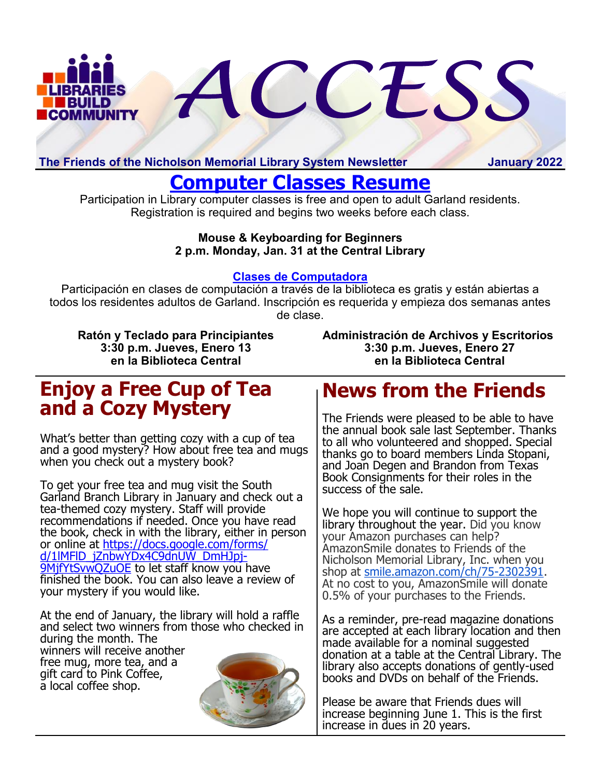

**The Friends of the Nicholson Memorial Library System Newsletter January 2022**

# **[Computer Classes Resume](https://library.garlandtx.gov/Calendar.aspx?EID=4653&month=1&year=2022&day=31&calType=0)**

Participation in Library computer classes is free and open to adult Garland residents. Registration is required and begins two weeks before each class.

#### **Mouse & Keyboarding for Beginners 2 p.m. Monday, Jan. 31 at the Central Library**

## **[Clases de Computadora](https://library.garlandtx.gov/Calendar.aspx?EID=4685&month=1&year=2022&day=13&calType=0)**

Participación en clases de computación a través de la biblioteca es gratis y están abiertas a todos los residentes adultos de Garland. Inscripción es requerida y empieza dos semanas antes de clase.

**Ratón y Teclado para Principiantes 3:30 p.m. Jueves, Enero 13 en la Biblioteca Central**

**Administración de Archivos y Escritorios 3:30 p.m. Jueves, Enero 27 en la Biblioteca Central**

# **Enjoy a Free Cup of Tea and a Cozy Mystery**

What's better than getting cozy with a cup of tea and a good mystery? How about free tea and mugs when you check out a mystery book?

To get your free tea and mug visit the South Garland Branch Library in January and check out a tea-themed cozy mystery. Staff will provide recommendations if needed. Once you have read the book, check in with the library, either in person or online at [https://docs.google.com/forms/](https://docs.google.com/forms/d/1lMFlD_jZnbwYDx4C9dnUW_DmHJpj-9MjfYtSvwQZuOE) d/1lMFID\_jZnbwYDx4C9dnUW\_DmHJpj-[9MjfYtSvwQZuOE](https://docs.google.com/forms/d/1lMFlD_jZnbwYDx4C9dnUW_DmHJpj-9MjfYtSvwQZuOE) to let staff know you have finished the book. You can also leave a review of your mystery if you would like.

At the end of January, the library will hold a raffle and select two winners from those who checked in during the month. The winners will receive another

free mug, more tea, and a gift card to Pink Coffee, a local coffee shop.



# **News from the Friends**

The Friends were pleased to be able to have the annual book sale last September. Thanks to all who volunteered and shopped. Special thanks go to board members Linda Stopani, and Joan Degen and Brandon from Texas Book Consignments for their roles in the success of the sale.

We hope you will continue to support the library throughout the year. Did you know your Amazon purchases can help? AmazonSmile donates to Friends of the Nicholson Memorial Library, Inc. when you shop at [smile.amazon.com/ch/75](https://www.amazon.com/gp/f.html?C=YHPN87VVYJ79&K=2YD2Q1144QK7I&M=urn:rtn:msg:20181107150139d9a6a59a10ea4baeae2b798335b0p0na&R=2UMQDRSWIJOC6&T=C&U=http%3A%2F%2Fsmile.amazon.com%2Fch%2F75-2302391&H=49DB3AWBXKPEAIIADT9ARDVVEVCA)-2302391. At no cost to you, AmazonSmile will donate 0.5% of your purchases to the Friends.

As a reminder, pre-read magazine donations are accepted at each library location and then made available for a nominal suggested donation at a table at the Central Library. The library also accepts donations of gently-used books and DVDs on behalf of the Friends.

Please be aware that Friends dues will increase beginning June 1. This is the first increase in dues in 20 years.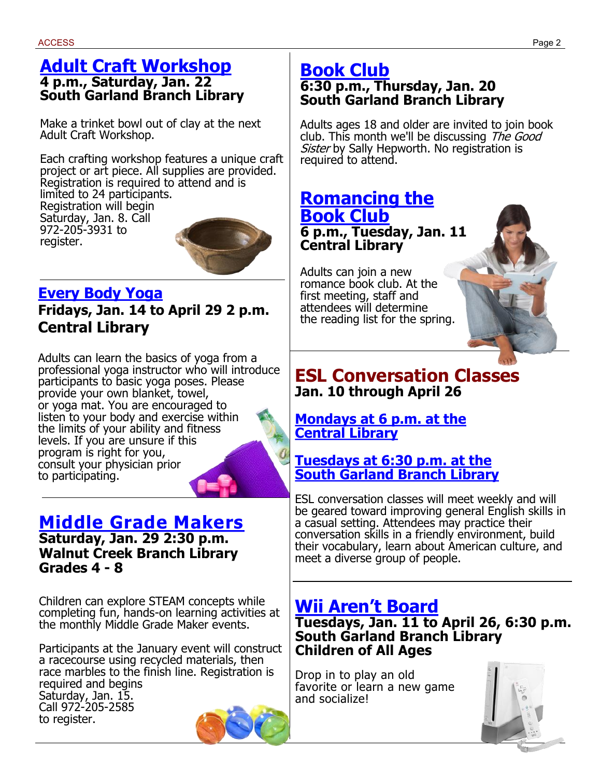## **[Adult Craft Workshop](https://library.garlandtx.gov/Calendar.aspx?EID=4690&month=1&year=2022&day=22&calType=0) 4 p.m., Saturday, Jan. 22 South Garland Branch Library**

Make a trinket bowl out of clay at the next Adult Craft Workshop.

Each crafting workshop features a unique craft project or art piece. All supplies are provided. Registration is required to attend and is limited to 24 participants. Registration will begin Saturday, Jan. 8. Call 972-205-3931 to register.

# **[Every Body Yoga](https://library.garlandtx.gov/Calendar.aspx?EID=4636&month=1&year=2022&day=14&calType=0)**

**Fridays, Jan. 14 to April 29 2 p.m. Central Library**

Adults can learn the basics of yoga from a professional yoga instructor who will introduce participants to basic yoga poses. Please provide your own blanket, towel, or yoga mat. You are encouraged to listen to your body and exercise within the limits of your ability and fitness levels. If you are unsure if this program is right for you, consult your physician prior to participating.

# **[Middle Grade Makers](https://library.garlandtx.gov/Calendar.aspx?EID=4508&month=1&year=2022&day=29&calType=0)**

**Saturday, Jan. 29 2:30 p.m. Walnut Creek Branch Library Grades 4 - 8**

Children can explore STEAM concepts while completing fun, hands-on learning activities at the monthly Middle Grade Maker events.

Participants at the January event will construct a racecourse using recycled materials, then race marbles to the finish line. Registration is required and begins Saturday, Jan. 15. Call 972-205-2585 to register.



Adults ages 18 and older are invited to join book club. This month we'll be discussing The Good Sister by Sally Hepworth. No registration is required to attend.

## **[Romancing the](https://library.garlandtx.gov/Calendar.aspx?EID=4652&month=1&year=2022&day=11&calType=0)  [Book Club](https://library.garlandtx.gov/Calendar.aspx?EID=4652&month=1&year=2022&day=11&calType=0) 6 p.m., Tuesday, Jan. 11 Central Library**

Adults can join a new romance book club. At the first meeting, staff and attendees will determine the reading list for the spring.



# **ESL Conversation Classes Jan. 10 through April 26**

## **[Mondays at 6 p.m. at the](https://library.garlandtx.gov/Calendar.aspx?EID=4620&month=1&year=2022&day=10&calType=0)  [Central Library](https://library.garlandtx.gov/Calendar.aspx?EID=4620&month=1&year=2022&day=10&calType=0)**

## **[Tuesdays at 6:30 p.m. at the](https://library.garlandtx.gov/Calendar.aspx?EID=4474&month=1&year=2022&day=11&calType=0) [South Garland Branch Library](https://library.garlandtx.gov/Calendar.aspx?EID=4474&month=1&year=2022&day=11&calType=0)**

ESL conversation classes will meet weekly and will be geared toward improving general English skills in a casual setting. Attendees may practice their conversation skills in a friendly environment, build their vocabulary, learn about American culture, and meet a diverse group of people.

# **[Wii Aren't Board](https://library.garlandtx.gov/Calendar.aspx?EID=4490&month=1&year=2022&day=11&calType=0)**

**Tuesdays, Jan. 11 to April 26, 6:30 p.m. South Garland Branch Library Children of All Ages** 

Drop in to play an old favorite or learn a new game and socialize!

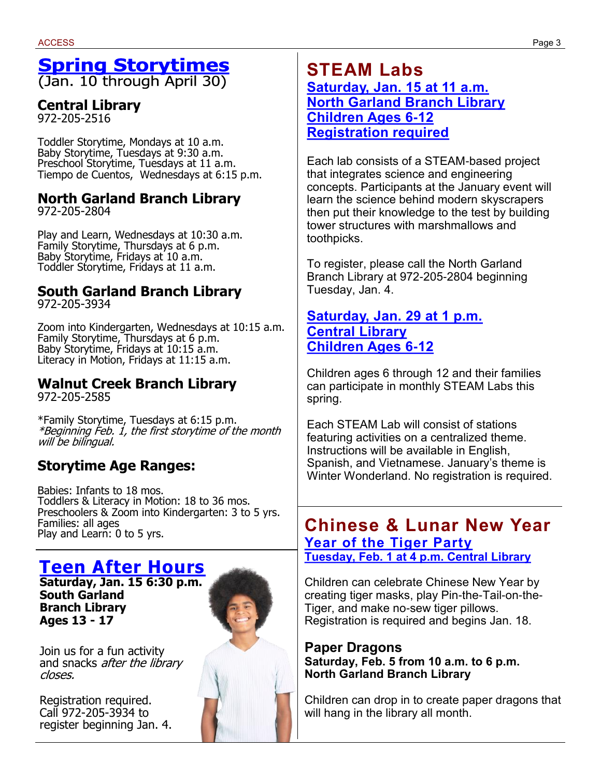# **Spring Storytimes**

(Jan. 10 through April 30)

## **Central Library**

972-205-2516

Toddler Storytime, Mondays at 10 a.m. Baby Storytime, Tuesdays at 9:30 a.m. Preschool Storytime, Tuesdays at 11 a.m. Tiempo de Cuentos, Wednesdays at 6:15 p.m.

# **North Garland Branch Library**

972-205-2804

Play and Learn, Wednesdays at 10:30 a.m. Family Storytime, Thursdays at 6 p.m. Baby Storytime, Fridays at 10 a.m. Toddler Storytime, Fridays at 11 a.m.

#### **South Garland Branch Library** 972-205-3934

Zoom into Kindergarten, Wednesdays at 10:15 a.m. Family Storytime, Thursdays at 6 p.m. Baby Storytime, Fridays at 10:15 a.m. Literacy in Motion, Fridays at 11:15 a.m.

#### **Walnut Creek Branch Library** 972-205-2585

\*Family Storytime, Tuesdays at 6:15 p.m. \*Beginning Feb. 1, the first storytime of the month will be bilingual.

## **Storytime Age Ranges:**

Babies: Infants to 18 mos. Toddlers & Literacy in Motion: 18 to 36 mos. Preschoolers & Zoom into Kindergarten: 3 to 5 yrs. Families: all ages Play and Learn: 0 to 5 yrs.

# **[Teen After Hours](https://library.garlandtx.gov/Calendar.aspx?EID=4507&month=1&year=2022&day=15&calType=0)**

**Saturday, Jan. 15 6:30 p.m. South Garland Branch Library Ages 13 - 17**



## **STEAM Labs [Saturday, Jan. 15 at 11 a.m.](https://library.garlandtx.gov/Calendar.aspx?EID=4694&month=1&year=2022&day=15&calType=0) [North Garland Branch Library](https://library.garlandtx.gov/Calendar.aspx?EID=4694&month=1&year=2022&day=15&calType=0) [Children Ages 6-12](https://library.garlandtx.gov/Calendar.aspx?EID=4694&month=1&year=2022&day=15&calType=0) [Registration required](https://library.garlandtx.gov/Calendar.aspx?EID=4694&month=1&year=2022&day=15&calType=0)**

Each lab consists of a STEAM-based project that integrates science and engineering concepts. Participants at the January event will learn the science behind modern skyscrapers then put their knowledge to the test by building tower structures with marshmallows and toothpicks.

To register, please call the North Garland Branch Library at 972-205-2804 beginning Tuesday, Jan. 4.

#### **[Saturday, Jan. 29 at 1 p.m.](https://library.garlandtx.gov/Calendar.aspx?EID=4689&month=1&year=2022&day=29&calType=0) [Central Library](https://library.garlandtx.gov/Calendar.aspx?EID=4689&month=1&year=2022&day=29&calType=0) [Children Ages 6-12](https://library.garlandtx.gov/Calendar.aspx?EID=4689&month=1&year=2022&day=29&calType=0)**

Children ages 6 through 12 and their families can participate in monthly STEAM Labs this spring.

Each STEAM Lab will consist of stations featuring activities on a centralized theme. Instructions will be available in English, Spanish, and Vietnamese. January's theme is Winter Wonderland. No registration is required.

## **Chinese & Lunar New Year [Year of the Tiger Party](https://library.garlandtx.gov/Calendar.aspx?EID=4687&month=2&year=2022&day=1&calType=0) [Tuesday, Feb. 1 at 4 p.m. Central Library](https://library.garlandtx.gov/Calendar.aspx?EID=4687&month=2&year=2022&day=1&calType=0)**

Children can celebrate Chinese New Year by creating tiger masks, play Pin-the-Tail-on-the-Tiger, and make no-sew tiger pillows. Registration is required and begins Jan. 18.

#### **Paper Dragons Saturday, Feb. 5 from 10 a.m. to 6 p.m. North Garland Branch Library**

Children can drop in to create paper dragons that will hang in the library all month.

Join us for a fun activity and snacks *after the library* closes.

Registration required. Call 972-205-3934 to register beginning Jan. 4.